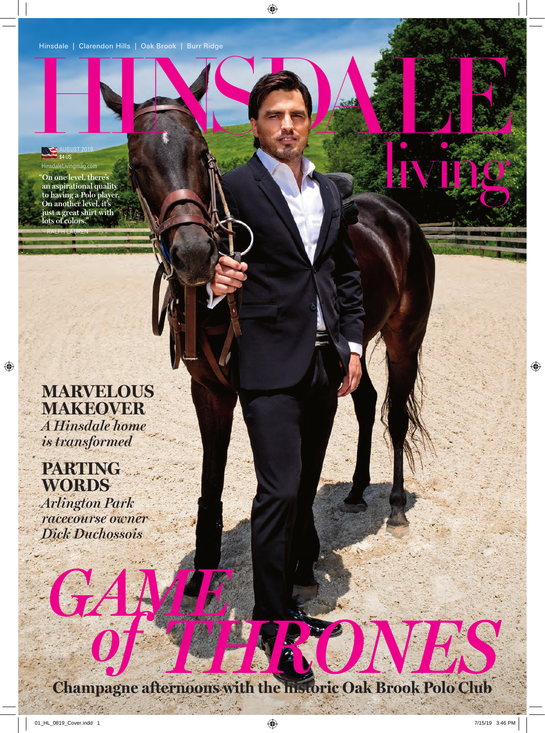#### \$4 US HinsdaleLivingmag.com **AUGUST 2019**

ALPH LAU

**"On one level, there's an aspirational quality to having a Polo player. On another level, it's just a great shirt with lots of colors."**

**MARVELOUS MAKEOVER** *A Hinsdale home is transformed*

#### **PARTING WORDS**

*Arlington Park racecourse owner Dick Duchossois*

*GAME of THRONES* **Champagne afternoons with the historic Oak Brook Polo Club**